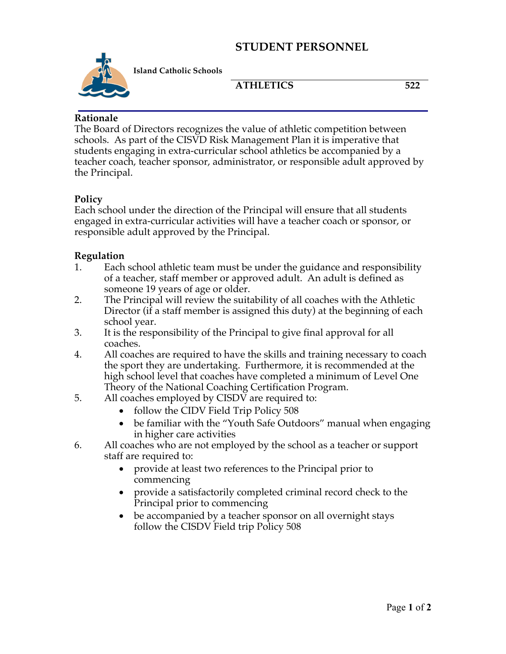## **STUDENT PERSONNEL**



**Island Catholic Schools** 

#### **ATHLETICS 522**

#### **Rationale**

The Board of Directors recognizes the value of athletic competition between schools. As part of the CISVD Risk Management Plan it is imperative that students engaging in extra-curricular school athletics be accompanied by a teacher coach, teacher sponsor, administrator, or responsible adult approved by the Principal.

### **Policy**

Each school under the direction of the Principal will ensure that all students engaged in extra-curricular activities will have a teacher coach or sponsor, or responsible adult approved by the Principal.

#### **Regulation**

- 1. Each school athletic team must be under the guidance and responsibility of a teacher, staff member or approved adult. An adult is defined as someone 19 years of age or older.
- 2. The Principal will review the suitability of all coaches with the Athletic Director (if a staff member is assigned this duty) at the beginning of each school year.
- 3. It is the responsibility of the Principal to give final approval for all coaches.
- 4. All coaches are required to have the skills and training necessary to coach the sport they are undertaking. Furthermore, it is recommended at the high school level that coaches have completed a minimum of Level One Theory of the National Coaching Certification Program.
- 5. All coaches employed by CISDV are required to:
	- follow the CIDV Field Trip Policy 508
	- be familiar with the "Youth Safe Outdoors" manual when engaging in higher care activities
- 6. All coaches who are not employed by the school as a teacher or support staff are required to:
	- provide at least two references to the Principal prior to commencing
	- provide a satisfactorily completed criminal record check to the Principal prior to commencing
	- be accompanied by a teacher sponsor on all overnight stays follow the CISDV Field trip Policy 508